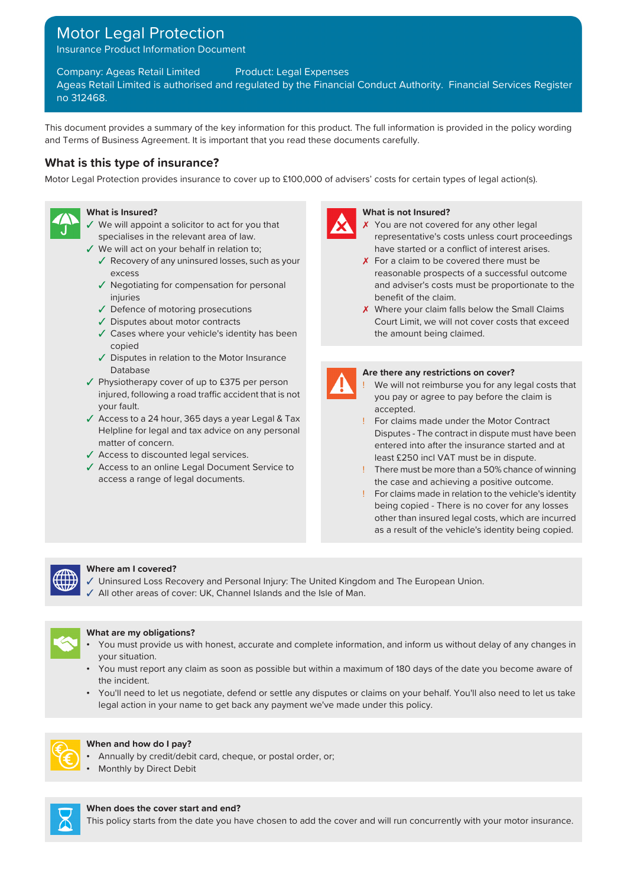# Motor Legal Protection

Insurance Product Information Document

Company: Ageas Retail Limited Product: Legal Expenses

Ageas Retail Limited is authorised and regulated by the Financial Conduct Authority. Financial Services Register no 312468.

This document provides a summary of the key information for this product. The full information is provided in the policy wording and Terms of Business Agreement. It is important that you read these documents carefully.

## **What is this type of insurance?**

Motor Legal Protection provides insurance to cover up to £100,000 of advisers' costs for certain types of legal action(s).



- ✓ We will appoint a solicitor to act for you that ✗ specialises in the relevant area of law.
- - ✓ Recovery of any uninsured losses, such as your ✗ excess
	- ✓ Negotiating for compensation for personal injuries
	- $\checkmark$  Defence of motoring prosecutions
	- ✓ Disputes about motor contracts
	- ✓ Cases where your vehicle's identity has been copied
	- ✓ Disputes in relation to the Motor Insurance **Database Are there any restrictions on cover?** Are there any restrictions on cover?
- ✓ Physiotherapy cover of up to £375 per person injured, following a road traffic accident that is not your fault.
- ✓ Access to a 24 hour, 365 days a year Legal & Tax Helpline for legal and tax advice on any personal matter of concern.
- 
- ✓ Access to an online Legal Document Service to access a range of legal documents.



#### **What is Insured? What is not Insured?**

- X You are not covered for any other legal representative's costs unless court proceedings ✓ We will act on your behalf in relation to; have started or a conflict of interest arises.
	- $\chi$  For a claim to be covered there must be reasonable prospects of a successful outcome and adviser's costs must be proportionate to the benefit of the claim.
	- X Where your claim falls below the Small Claims Court Limit, we will not cover costs that exceed the amount being claimed.



- We will not reimburse you for any legal costs that you pay or agree to pay before the claim is accepted.
- ! For claims made under the Motor Contract Disputes - The contract in dispute must have been entered into after the insurance started and at ✓ Access to discounted legal services. least £250 incl VAT must be in dispute.
	- ! There must be more than a 50% chance of winning the case and achieving a positive outcome.
	- ! For claims made in relation to the vehicle's identity being copied - There is no cover for any losses other than insured legal costs, which are incurred as a result of the vehicle's identity being copied.



### **Where am I covered?**

- ✓ Uninsured Loss Recovery and Personal Injury: The United Kingdom and The European Union.
- ✓ All other areas of cover: UK, Channel Islands and the Isle of Man.



### **What are my obligations?**

- You must provide us with honest, accurate and complete information, and inform us without delay of any changes in your situation.
- You must report any claim as soon as possible but within a maximum of 180 days of the date you become aware of the incident.
- You'll need to let us negotiate, defend or settle any disputes or claims on your behalf. You'll also need to let us take legal action in your name to get back any payment we've made under this policy.



#### **When and how do I pay?**

- Annually by credit/debit card, cheque, or postal order, or;
- **Monthly by Direct Debit**



#### **When does the cover start and end?**

This policy starts from the date you have chosen to add the cover and will run concurrently with your motor insurance.